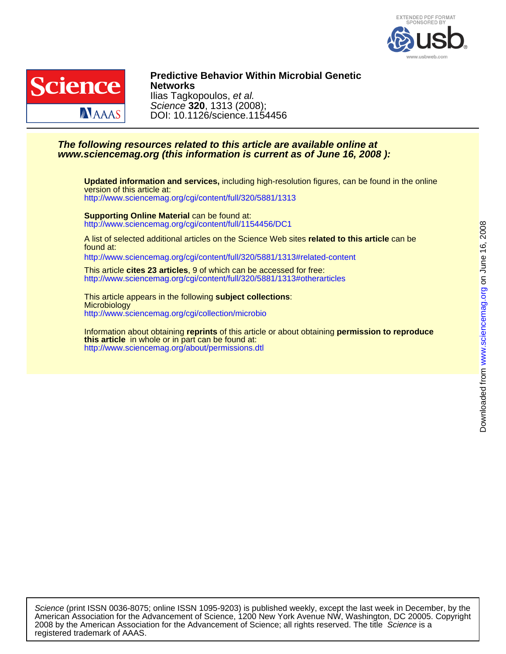



DOI: 10.1126/science.1154456 Science **320**, 1313 (2008); Ilias Tagkopoulos, et al. **Networks Predictive Behavior Within Microbial Genetic**

## **www.sciencemag.org (this information is current as of June 16, 2008 ): The following resources related to this article are available online at**

<http://www.sciencemag.org/cgi/content/full/320/5881/1313> version of this article at: **Updated information and services,** including high-resolution figures, can be found in the online

<http://www.sciencemag.org/cgi/content/full/1154456/DC1> **Supporting Online Material** can be found at:

found at: A list of selected additional articles on the Science Web sites **related to this article** can be

<http://www.sciencemag.org/cgi/content/full/320/5881/1313#related-content>

<http://www.sciencemag.org/cgi/content/full/320/5881/1313#otherarticles> This article **cites 23 articles**, 9 of which can be accessed for free:

<http://www.sciencemag.org/cgi/collection/microbio> **Microbiology** This article appears in the following **subject collections**:

<http://www.sciencemag.org/about/permissions.dtl> **this article** in whole or in part can be found at: Information about obtaining **reprints** of this article or about obtaining **permission to reproduce** www.sciencemag.orgon June 16, 2008

Downloaded from www.sciencemag.org on June 16, 2008

Downloaded from

registered trademark of AAAS. 2008 by the American Association for the Advancement of Science; all rights reserved. The title Science is a American Association for the Advancement of Science, 1200 New York Avenue NW, Washington, DC 20005. Copyright Science (print ISSN 0036-8075; online ISSN 1095-9203) is published weekly, except the last week in December, by the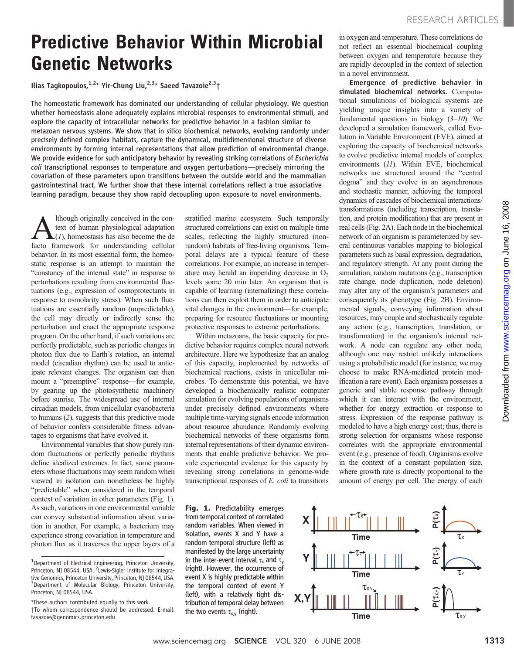## Predictive Behavior Within Microbial Genetic Networks

Ilias Tagkopoulos,  $1.2*$  Yir-Chung Liu,  $2.3*$  Saeed Tavazoie $2.3+$ 

The homeostatic framework has dominated our understanding of cellular physiology. We question whether homeostasis alone adequately explains microbial responses to environmental stimuli, and explore the capacity of intracellular networks for predictive behavior in a fashion similar to metazoan nervous systems. We show that in silico biochemical networks, evolving randomly under precisely defined complex habitats, capture the dynamical, multidimensional structure of diverse environments by forming internal representations that allow prediction of environmental change. We provide evidence for such anticipatory behavior by revealing striking correlations of Escherichia coli transcriptional responses to temperature and oxygen perturbations—precisely mirroring the covariation of these parameters upon transitions between the outside world and the mammalian gastrointestinal tract. We further show that these internal correlations reflect a true associative learning paradigm, because they show rapid decoupling upon exposure to novel environments.

A lthough originally conceived in the context of human physiological adaptation (*1*), homeostasis has also become the defector framework for understanding cellular text of human physiological adaptation facto framework for understanding cellular behavior. In its most essential form, the homeostatic response is an attempt to maintain the "constancy of the internal state" in response to perturbations resulting from environmental fluctuations (e.g., expression of osmoprotectants in response to osmolarity stress). When such fluctuations are essentially random (unpredictable), the cell may directly or indirectly sense the perturbation and enact the appropriate response program. On the other hand, if such variations are perfectly predictable, such as periodic changes in photon flux due to Earth's rotation, an internal model (circadian rhythm) can be used to anticipate relevant changes. The organism can then mount a "preemptive" response—for example, by gearing up the photosynthetic machinery before sunrise. The widespread use of internal circadian models, from unicellular cyanobacteria to humans (2), suggests that this predictive mode of behavior confers considerable fitness advantages to organisms that have evolved it.

Environmental variables that show purely random fluctuations or perfectly periodic rhythms define idealized extremes. In fact, some parameters whose fluctuations may seem random when viewed in isolation can nonetheless be highly "predictable" when considered in the temporal context of variation in other parameters (Fig. 1). As such, variations in one environmental variable can convey substantial information about variation in another. For example, a bacterium may experience strong covariation in temperature and photon flux as it traverses the upper layers of a stratified marine ecosystem. Such temporally structured correlations can exist on multiple time scales, reflecting the highly structured (nonrandom) habitats of free-living organisms. Temporal delays are a typical feature of these correlations. For example, an increase in temperature may herald an impending decrease in  $O<sub>2</sub>$ levels some 20 min later. An organism that is capable of learning (internalizing) these correlations can then exploit them in order to anticipate vital changes in the environment—for example, preparing for resource fluctuations or mounting protective responses to extreme perturbations.

Within metazoans, the basic capacity for predictive behavior requires complex neural network architecture. Here we hypothesize that an analog of this capacity, implemented by networks of biochemical reactions, exists in unicellular microbes. To demonstrate this potential, we have developed a biochemically realistic computer simulation for evolving populations of organisms under precisely defined environments where multiple time-varying signals encode information about resource abundance. Randomly evolving biochemical networks of these organisms form internal representations of their dynamic environments that enable predictive behavior. We provide experimental evidence for this capacity by revealing strong correlations in genome-wide transcriptional responses of E. coli to transitions in oxygen and temperature. These correlations do not reflect an essential biochemical coupling between oxygen and temperature because they are rapidly decoupled in the context of selection in a novel environment.

Emergence of predictive behavior in simulated biochemical networks. Computational simulations of biological systems are yielding unique insights into a variety of fundamental questions in biology  $(3-10)$ . We developed a simulation framework, called Evolution in Variable Environment (EVE), aimed at exploring the capacity of biochemical networks to evolve predictive internal models of complex environments (11). Within EVE, biochemical networks are structured around the "central dogma" and they evolve in an asynchronous and stochastic manner, achieving the temporal dynamics of cascades of biochemical interactions/ transformations (including transcription, translation, and protein modification) that are present in real cells (Fig. 2A). Each node in the biochemical network of an organism is parameterized by several continuous variables mapping to biological parameters such as basal expression, degradation, and regulatory strength. At any point during the simulation, random mutations (e.g., transcription rate change, node duplication, node deletion) may alter any of the organism's parameters and consequently its phenotype (Fig. 2B). Environmental signals, conveying information about resources, may couple and stochastically regulate any action (e.g., transcription, translation, or transformation) in the organism's internal network. A node can regulate any other node, although one may restrict unlikely interactions using a probabilistic model (for instance, we may choose to make RNA-mediated protein modification a rare event). Each organism possesses a generic and stable response pathway through which it can interact with the environment, whether for energy extraction or response to stress. Expression of the response pathway is modeled to have a high energy cost; thus, there is strong selection for organisms whose response correlates with the appropriate environmental event (e.g., presence of food). Organisms evolve in the context of a constant population size, where growth rate is directly proportional to the amount of energy per cell. The energy of each

Fig. 1. Predictability emerges from temporal context of correlated random variables. When viewed in isolation, events X and Y have a random temporal structure (left) as manifested by the large uncertainty in the inter-event interval  $\tau_x$  and  $\tau_y$ (right). However, the occurrence of event X is highly predictable within the temporal context of event Y (left), with a relatively tight distribution of temporal delay between the two events  $\tau_{x,y}$  (right).



<sup>&</sup>lt;sup>1</sup>Department of Electrical Engineering, Princeton University, Princeton, NJ 08544, USA. <sup>2</sup>Lewis-Sigler Institute for Integrative Genomics, Princeton University, Princeton, NJ 08544, USA. <sup>3</sup>Department of Molecular Biology, Princeton University, Princeton, NJ 08544, USA.

<sup>\*</sup>These authors contributed equally to this work. †To whom correspondence should be addressed. E-mail: tavazoie@genomics.princeton.edu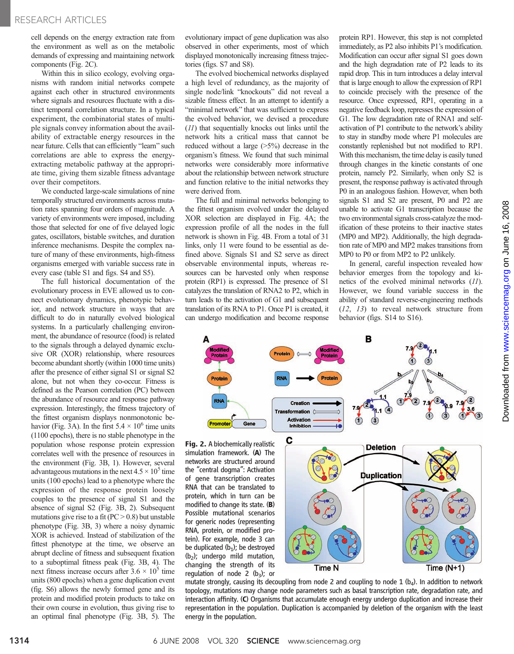cell depends on the energy extraction rate from the environment as well as on the metabolic demands of expressing and maintaining network components (Fig. 2C).

Within this in silico ecology, evolving organisms with random initial networks compete against each other in structured environments where signals and resources fluctuate with a distinct temporal correlation structure. In a typical experiment, the combinatorial states of multiple signals convey information about the availability of extractable energy resources in the near future. Cells that can efficiently "learn" such correlations are able to express the energyextracting metabolic pathway at the appropriate time, giving them sizable fitness advantage over their competitors.

We conducted large-scale simulations of nine temporally structured environments across mutation rates spanning four orders of magnitude. A variety of environments were imposed, including those that selected for one of five delayed logic gates, oscillators, bistable switches, and duration inference mechanisms. Despite the complex nature of many of these environments, high-fitness organisms emerged with variable success rate in every case (table S1 and figs. S4 and S5).

The full historical documentation of the evolutionary process in EVE allowed us to connect evolutionary dynamics, phenotypic behavior, and network structure in ways that are difficult to do in naturally evolved biological systems. In a particularly challenging environment, the abundance of resource (food) is related to the signals through a delayed dynamic exclusive OR (XOR) relationship, where resources become abundant shortly (within 1000 time units) after the presence of either signal S1 or signal S2 alone, but not when they co-occur. Fitness is defined as the Pearson correlation (PC) between the abundance of resource and response pathway expression. Interestingly, the fitness trajectory of the fittest organism displays nonmonotonic behavior (Fig. 3A). In the first  $5.4 \times 10^6$  time units (1100 epochs), there is no stable phenotype in the population whose response protein expression correlates well with the presence of resources in the environment (Fig. 3B, 1). However, several advantageous mutations in the next  $4.5 \times 10^5$  time units (100 epochs) lead to a phenotype where the expression of the response protein loosely couples to the presence of signal S1 and the absence of signal S2 (Fig. 3B, 2). Subsequent mutations give rise to a fit ( $PC > 0.8$ ) but unstable phenotype (Fig. 3B, 3) where a noisy dynamic XOR is achieved. Instead of stabilization of the fittest phenotype at the time, we observe an abrupt decline of fitness and subsequent fixation to a suboptimal fitness peak (Fig. 3B, 4). The next fitness increase occurs after  $3.6 \times 10^5$  time units (800 epochs) when a gene duplication event (fig. S6) allows the newly formed gene and its protein and modified protein products to take on their own course in evolution, thus giving rise to an optimal final phenotype (Fig. 3B, 5). The

evolutionary impact of gene duplication was also observed in other experiments, most of which displayed monotonically increasing fitness trajectories (figs. S7 and S8).

The evolved biochemical networks displayed a high level of redundancy, as the majority of single node/link "knockouts" did not reveal a sizable fitness effect. In an attempt to identify a "minimal network" that was sufficient to express the evolved behavior, we devised a procedure (11) that sequentially knocks out links until the network hits a critical mass that cannot be reduced without a large (>5%) decrease in the organism's fitness. We found that such minimal networks were considerably more informative about the relationship between network structure and function relative to the initial networks they were derived from.

The full and minimal networks belonging to the fittest organism evolved under the delayed XOR selection are displayed in Fig. 4A; the expression profile of all the nodes in the full network is shown in Fig. 4B. From a total of 31 links, only 11 were found to be essential as defined above. Signals S1 and S2 serve as direct observable environmental inputs, whereas resources can be harvested only when response protein (RP1) is expressed. The presence of S1 catalyzes the translation of RNA2 to P2, which in turn leads to the activation of G1 and subsequent translation of its RNA to P1. Once P1 is created, it can undergo modification and become response

protein RP1. However, this step is not completed immediately, as P2 also inhibits P1's modification. Modification can occur after signal S1 goes down and the high degradation rate of P2 leads to its rapid drop. This in turn introduces a delay interval that is large enough to allow the expression of RP1 to coincide precisely with the presence of the resource. Once expressed, RP1, operating in a negative feedback loop, represses the expression of G1. The low degradation rate of RNA1 and selfactivation of P1 contribute to the network's ability to stay in standby mode where P1 molecules are constantly replenished but not modified to RP1. With this mechanism, the time delay is easily tuned through changes in the kinetic constants of one protein, namely P2. Similarly, when only S2 is present, the response pathway is activated through P0 in an analogous fashion. However, when both signals S1 and S2 are present, P0 and P2 are unable to activate G1 transcription because the two environmental signals cross-catalyze the modification of these proteins to their inactive states (MP0 and MP2). Additionally, the high degradation rate of MP0 and MP2 makes transitions from MP0 to P0 or from MP2 to P2 unlikely.

In general, careful inspection revealed how behavior emerges from the topology and kinetics of the evolved minimal networks (11). However, we found variable success in the ability of standard reverse-engineering methods (12, 13) to reveal network structure from behavior (figs. S14 to S16).



simulation framework. (A) The networks are structured around the "central dogma": Activation of gene transcription creates RNA that can be translated to protein, which in turn can be modified to change its state. (B) Possible mutational scenarios for generic nodes (representing RNA, protein, or modified protein). For example, node 3 can be duplicated  $(b_1)$ ; be destroyed  $(b<sub>2</sub>)$ ; undergo mild mutation, changing the strength of its regulation of node 2  $(b_3)$ ; or



mutate strongly, causing its decoupling from node 2 and coupling to node 1 ( $b<sub>4</sub>$ ). In addition to network topology, mutations may change node parameters such as basal transcription rate, degradation rate, and interaction affinity. (C) Organisms that accumulate enough energy undergo duplication and increase their representation in the population. Duplication is accompanied by deletion of the organism with the least energy in the population.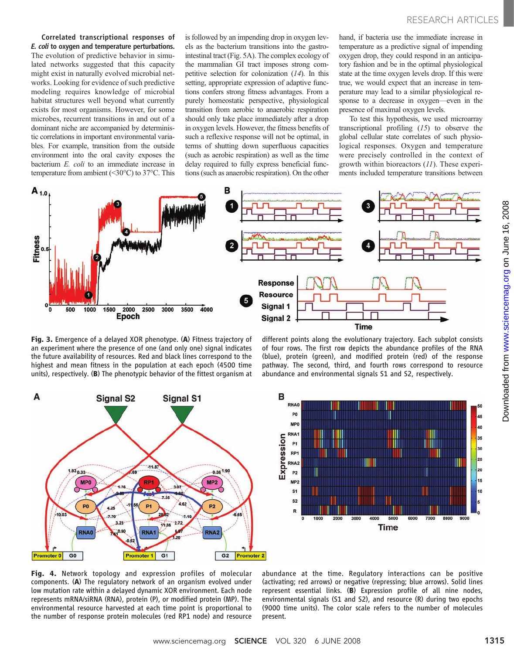Correlated transcriptional responses of E. coli to oxygen and temperature perturbations. The evolution of predictive behavior in simulated networks suggested that this capacity might exist in naturally evolved microbial networks. Looking for evidence of such predictive modeling requires knowledge of microbial habitat structures well beyond what currently exists for most organisms. However, for some microbes, recurrent transitions in and out of a dominant niche are accompanied by deterministic correlations in important environmental variables. For example, transition from the outside environment into the oral cavity exposes the bacterium E. coli to an immediate increase in temperature from ambient (<30°C) to 37°C. This

is followed by an impending drop in oxygen levels as the bacterium transitions into the gastrointestinal tract (Fig. 5A). The complex ecology of the mammalian GI tract imposes strong competitive selection for colonization (14). In this setting, appropriate expression of adaptive functions confers strong fitness advantages. From a purely homeostatic perspective, physiological transition from aerobic to anaerobic respiration should only take place immediately after a drop in oxygen levels. However, the fitness benefits of such a reflexive response will not be optimal, in terms of shutting down superfluous capacities (such as aerobic respiration) as well as the time delay required to fully express beneficial functions (such as anaerobic respiration). On the other

hand, if bacteria use the immediate increase in temperature as a predictive signal of impending oxygen drop, they could respond in an anticipatory fashion and be in the optimal physiological state at the time oxygen levels drop. If this were true, we would expect that an increase in temperature may lead to a similar physiological response to a decrease in oxygen—even in the presence of maximal oxygen levels.

To test this hypothesis, we used microarray transcriptional profiling  $(15)$  to observe the global cellular state correlates of such physiological responses. Oxygen and temperature were precisely controlled in the context of growth within bioreactors (11). These experiments included temperature transitions between



Fig. 3. Emergence of a delayed XOR phenotype. (A) Fitness trajectory of an experiment where the presence of one (and only one) signal indicates the future availability of resources. Red and black lines correspond to the highest and mean fitness in the population at each epoch (4500 time units), respectively. (B) The phenotypic behavior of the fittest organism at

different points along the evolutionary trajectory. Each subplot consists of four rows. The first row depicts the abundance profiles of the RNA (blue), protein (green), and modified protein (red) of the response pathway. The second, third, and fourth rows correspond to resource abundance and environmental signals S1 and S2, respectively.





Fig. 4. Network topology and expression profiles of molecular components. (A) The regulatory network of an organism evolved under low mutation rate within a delayed dynamic XOR environment. Each node represents mRNA/siRNA (RNA), protein (P), or modified protein (MP). The environmental resource harvested at each time point is proportional to the number of response protein molecules (red RP1 node) and resource

abundance at the time. Regulatory interactions can be positive (activating; red arrows) or negative (repressing; blue arrows). Solid lines represent essential links. (B) Expression profile of all nine nodes, environmental signals (S1 and S2), and resource (R) during two epochs (9000 time units). The color scale refers to the number of molecules present.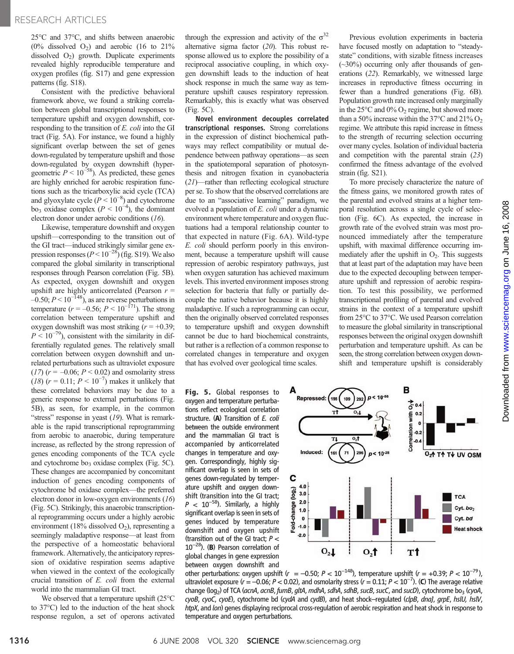25°C and 37°C, and shifts between anaerobic  $(0\%$  dissolved  $O_2$ ) and aerobic (16 to 21%) dissolved  $O_2$ ) growth. Duplicate experiments revealed highly reproducible temperature and oxygen profiles (fig. S17) and gene expression patterns (fig. S18).

Consistent with the predictive behavioral framework above, we found a striking correlation between global transcriptional responses to temperature upshift and oxygen downshift, corresponding to the transition of E. coli into the GI tract (Fig. 5A). For instance, we found a highly significant overlap between the set of genes down-regulated by temperature upshift and those down-regulated by oxygen downshift (hyper-<br>geometric  $P < 10^{-58}$ ). As predicted, these genes are highly enriched for aerobic respiration functions such as the tricarboxylic acid cycle (TCA) and glyoxylate cycle  $(P < 10^{-8})$  and cytochrome bo<sub>3</sub> oxidase complex  $(P < 10^{-4})$ , the dominant electron donor under aerobic conditions (16).

Likewise, temperature downshift and oxygen upshift—corresponding to the transition out of the GI tract—induced strikingly similar gene expression responses ( $P < 10^{-28}$ ) (fig. S19). We also compared the global similarity in transcriptional responses through Pearson correlation (Fig. 5B). As expected, oxygen downshift and oxygen upshift are highly anticorrelated (Pearson  $r =$ –0.50;  $P < 10^{-148}$ ), as are reverse perturbations in temperature ( $r = -0.56$ ;  $P < 10^{-171}$ ). The strong correlation between temperature upshift and oxygen downshift was most striking  $(r = +0.39)$ ;  $P \leq 10^{-79}$ , consistent with the similarity in differentially regulated genes. The relatively small correlation between oxygen downshift and unrelated perturbations such as ultraviolet exposure  $(17)$   $(r = -0.06; P < 0.02)$  and osmolarity stress (18)  $(r = 0.11; P < 10^{-7})$  makes it unlikely that these correlated behaviors may be due to a generic response to external perturbations (Fig. 5B), as seen, for example, in the common "stress" response in yeast (19). What is remarkable is the rapid transcriptional reprogramming from aerobic to anaerobic, during temperature increase, as reflected by the strong repression of genes encoding components of the TCA cycle and cytochrome bo<sub>3</sub> oxidase complex (Fig. 5C). These changes are accompanied by concomitant induction of genes encoding components of cytochrome bd oxidase complex—the preferred electron donor in low-oxygen environments (16) (Fig. 5C). Strikingly, this anaerobic transcriptional reprogramming occurs under a highly aerobic environment (18% dissolved  $O_2$ ), representing a seemingly maladaptive response—at least from the perspective of a homeostatic behavioral framework. Alternatively, the anticipatory repression of oxidative respiration seems adaptive when viewed in the context of the ecologically crucial transition of E. coli from the external world into the mammalian GI tract.

We observed that a temperature upshift (25°C to 37°C) led to the induction of the heat shock response regulon, a set of operons activated through the expression and activity of the  $\sigma^{32}$ alternative sigma factor (20). This robust response allowed us to explore the possibility of a reciprocal associative coupling, in which oxygen downshift leads to the induction of heat shock response in much the same way as temperature upshift causes respiratory repression. Remarkably, this is exactly what was observed (Fig. 5C).

Novel environment decouples correlated transcriptional responses. Strong correlations in the expression of distinct biochemical pathways may reflect compatibility or mutual dependence between pathway operations—as seen in the spatiotemporal separation of photosynthesis and nitrogen fixation in cyanobacteria (21)—rather than reflecting ecological structure per se. To show that the observed correlations are due to an "associative learning" paradigm, we evolved a population of E. coli under a dynamic environment where temperature and oxygen fluctuations had a temporal relationship counter to that expected in nature (Fig. 6A). Wild-type E. coli should perform poorly in this environment, because a temperature upshift will cause repression of aerobic respiratory pathways, just when oxygen saturation has achieved maximum levels. This inverted environment imposes strong selection for bacteria that fully or partially decouple the native behavior because it is highly maladaptive. If such a reprogramming can occur, then the originally observed correlated responses to temperature upshift and oxygen downshift cannot be due to hard biochemical constraints, but rather is a reflection of a common response to correlated changes in temperature and oxygen that has evolved over geological time scales.

Fig. 5. Global responses to oxygen and temperature perturbations reflect ecological correlation structure. (A) Transition of E. coli between the outside environment and the mammalian GI tract is accompanied by anticorrelated changes in temperature and oxygen. Correspondingly, highly significant overlap is seen in sets of genes down-regulated by temperature upshift and oxygen downshift (transition into the GI tract;  $P$  < 10<sup>-58</sup>). Similarly, a highly significant overlap is seen in sets of genes induced by temperature downshift and oxygen upshift (transition out of the GI tract;  $P <$  $10^{-28}$ ). (B) Pearson correlation of global changes in gene expression between oxygen downshift and

Previous evolution experiments in bacteria have focused mostly on adaptation to "steadystate" conditions, with sizable fitness increases (~30%) occurring only after thousands of generations (22). Remarkably, we witnessed large increases in reproductive fitness occurring in fewer than a hundred generations (Fig. 6B). Population growth rate increased only marginally in the  $25^{\circ}$ C and  $0\%$  O<sub>2</sub> regime, but showed more than a 50% increase within the 37°C and 21%  $O_2$ regime. We attribute this rapid increase in fitness to the strength of recurring selection occurring over many cycles. Isolation of individual bacteria and competition with the parental strain (23) confirmed the fitness advantage of the evolved strain (fig. S21).

To more precisely characterize the nature of the fitness gains, we monitored growth rates of the parental and evolved strains at a higher temporal resolution across a single cycle of selection (Fig. 6C). As expected, the increase in growth rate of the evolved strain was most pronounced immediately after the temperature upshift, with maximal difference occurring immediately after the upshift in  $O_2$ . This suggests that at least part of the adaptation may have been due to the expected decoupling between temperature upshift and repression of aerobic respiration. To test this possibility, we performed transcriptional profiling of parental and evolved strains in the context of a temperature upshift from 25°C to 37°C. We used Pearson correlation to measure the global similarity in transcriptional responses between the original oxygen downshift perturbation and temperature upshift. As can be seen, the strong correlation between oxygen downshift and temperature upshift is considerably



other perturbations: oxygen upshift ( $r = -0.50$ ;  $P < 10^{-148}$ ), temperature upshift ( $r = +0.39$ ;  $P < 10^{-79}$ ), ultraviolet exposure (r = –0.06; P < 0.02), and osmolarity stress (r = 0.11; P <  $10^{-7}$ ). (C) The average relative<br>change (log-) of TCA (*gcnA, gcnB, fumB, gltA, mdhA, sdhA, sdhB, sucB, sucC, and sucD)*, ovtochrome ho- ( change (log<sub>2</sub>) of TCA (acnA, acnB, fumB, gltA, mdhA, sdhA, sdhB, sucB, sucC, and sucD), cytochrome bo<sub>3</sub> (cyoA, cyoB, cyoC, cyoE), cytochrome bd (cydA and cydB), and heat shock-regulated (clpB, dnaJ, grpE, hslU, hslV, htpX, and lon) genes displaying reciprocal cross-regulation of aerobic respiration and heat shock in response to temperature and oxygen perturbations.